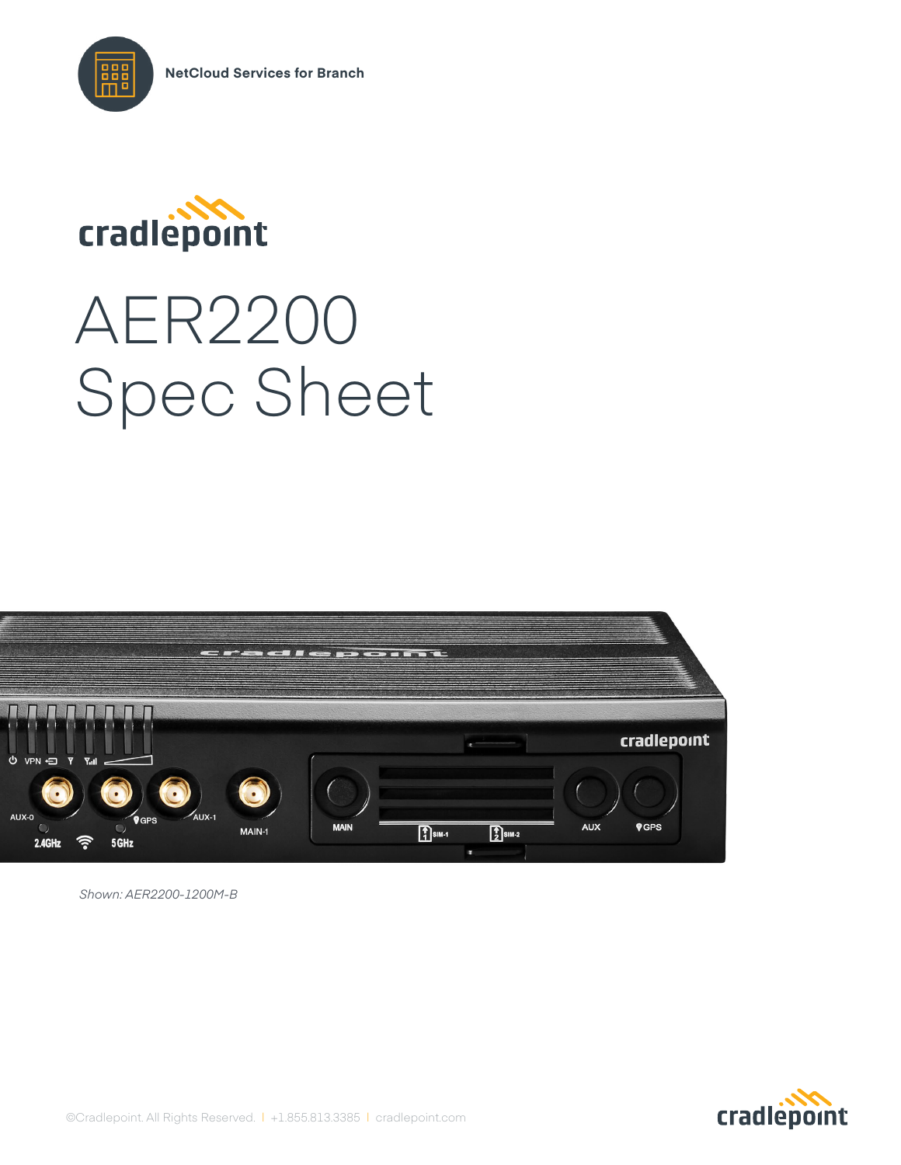



# AER2200 Spec Sheet



*Shown: AER2200-1200M-B*

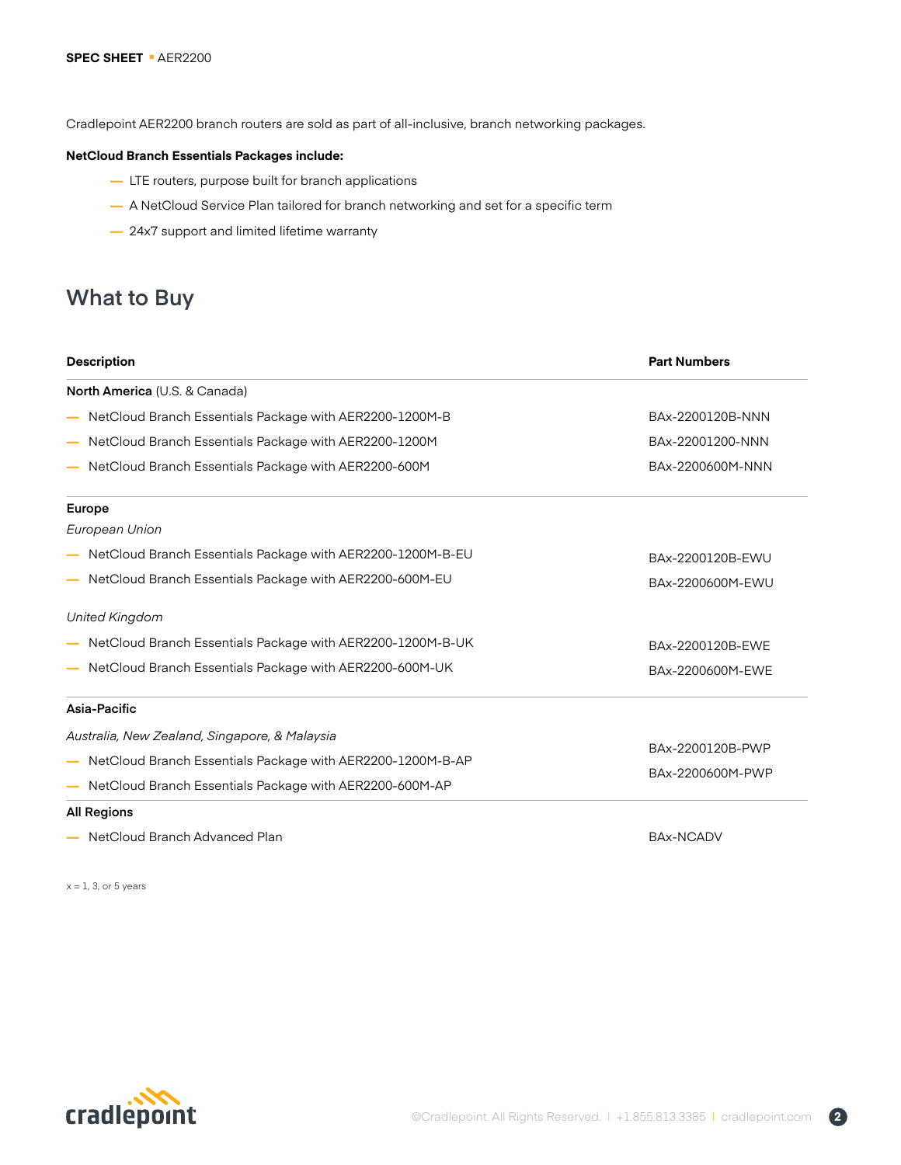Cradlepoint AER2200 branch routers are sold as part of all-inclusive, branch networking packages.

#### **NetCloud Branch Essentials Packages include:**

- **—** LTE routers, purpose built for branch applications
- **—** A NetCloud Service Plan tailored for branch networking and set for a specific term
- **—** 24x7 support and limited lifetime warranty

# **What to Buy**

| <b>Description</b>                                         | <b>Part Numbers</b> |  |
|------------------------------------------------------------|---------------------|--|
| North America (U.S. & Canada)                              |                     |  |
| NetCloud Branch Essentials Package with AER2200-1200M-B    | BAx-2200120B-NNN    |  |
| NetCloud Branch Essentials Package with AER2200-1200M      | BAx-22001200-NNN    |  |
| NetCloud Branch Essentials Package with AER2200-600M       | BAx-2200600M-NNN    |  |
| Europe                                                     |                     |  |
| European Union                                             |                     |  |
| NetCloud Branch Essentials Package with AER2200-1200M-B-EU | BAx-2200120B-EWU    |  |
| NetCloud Branch Essentials Package with AER2200-600M-EU    | BAx-2200600M-EWU    |  |
| <b>United Kingdom</b>                                      |                     |  |
| NetCloud Branch Essentials Package with AER2200-1200M-B-UK | BAx-2200120B-EWE    |  |
| NetCloud Branch Essentials Package with AER2200-600M-UK    | BAx-2200600M-EWE    |  |
| Asia-Pacific                                               |                     |  |
| Australia, New Zealand, Singapore, & Malaysia              |                     |  |
| NetCloud Branch Essentials Package with AER2200-1200M-B-AP | BAx-2200120B-PWP    |  |
| NetCloud Branch Essentials Package with AER2200-600M-AP    | BAx-2200600M-PWP    |  |
| <b>All Regions</b>                                         |                     |  |
| NetCloud Branch Advanced Plan                              | <b>BAx-NCADV</b>    |  |

 $x = 1$ , 3, or 5 years

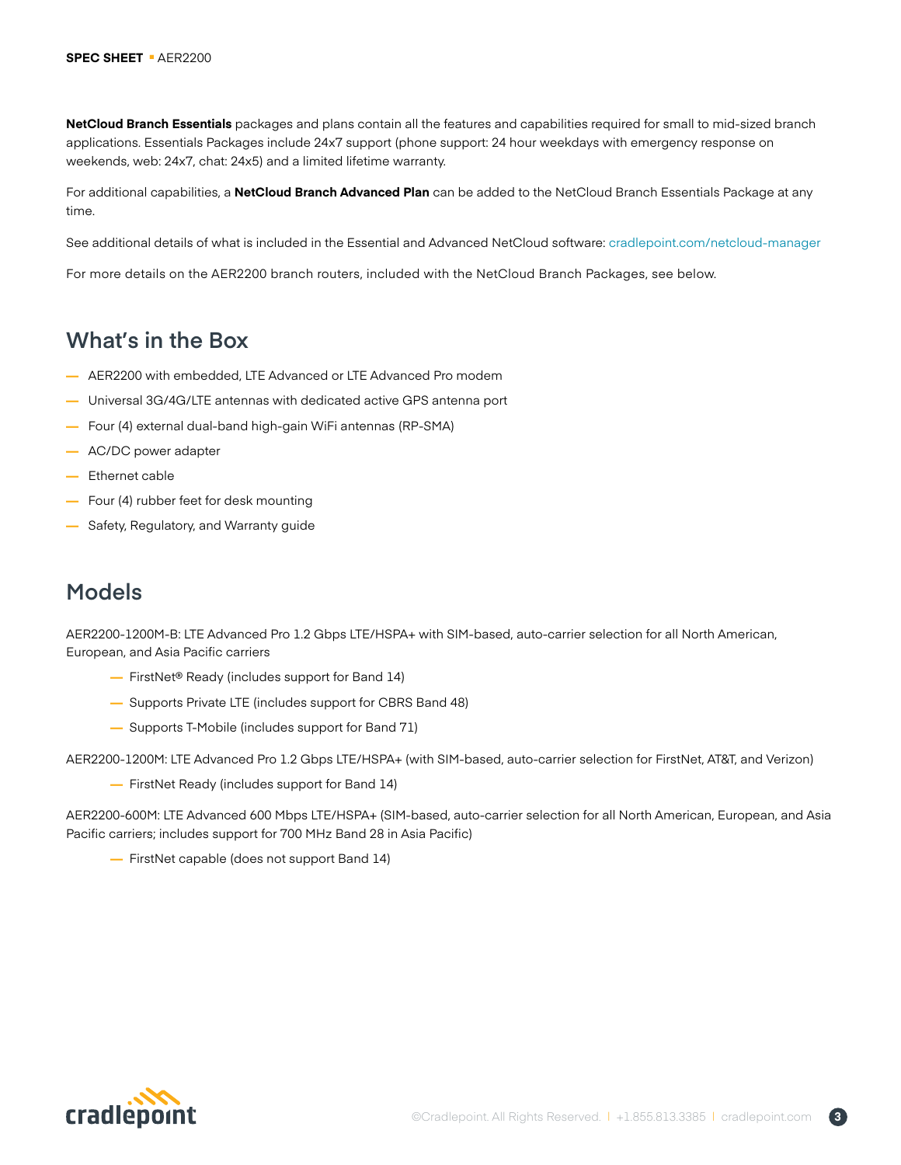**NetCloud Branch Essentials** packages and plans contain all the features and capabilities required for small to mid-sized branch applications. Essentials Packages include 24x7 support (phone support: 24 hour weekdays with emergency response on weekends, web: 24x7, chat: 24x5) and a limited lifetime warranty.

For additional capabilities, a **NetCloud Branch Advanced Plan** can be added to the NetCloud Branch Essentials Package at any time.

See additional details of what is included in the Essential and Advanced NetCloud software: [cradlepoint.com/netc](https://cradlepoint.com/netcloud-manager)loud-manager

For more details on the AER2200 branch routers, included with the NetCloud Branch Packages, see below.

## **What's in the Box**

- **—** AER2200 with embedded, LTE Advanced or LTE Advanced Pro modem
- **—** Universal 3G/4G/LTE antennas with dedicated active GPS antenna port
- **—** Four (4) external dual-band high-gain WiFi antennas (RP-SMA)
- **—** AC/DC power adapter
- **—** Ethernet cable
- **—** Four (4) rubber feet for desk mounting
- **—** Safety, Regulatory, and Warranty guide

## **Models**

AER2200-1200M-B: LTE Advanced Pro 1.2 Gbps LTE/HSPA+ with SIM-based, auto-carrier selection for all North American, European, and Asia Pacific carriers

- **—** FirstNet® Ready (includes support for Band 14)
- **—** Supports Private LTE (includes support for CBRS Band 48)
- **—** Supports T-Mobile (includes support for Band 71)

AER2200-1200M: LTE Advanced Pro 1.2 Gbps LTE/HSPA+ (with SIM-based, auto-carrier selection for FirstNet, AT&T, and Verizon)

**—** FirstNet Ready (includes support for Band 14)

AER2200-600M: LTE Advanced 600 Mbps LTE/HSPA+ (SIM-based, auto-carrier selection for all North American, European, and Asia Pacific carriers; includes support for 700 MHz Band 28 in Asia Pacific)

**—** FirstNet capable (does not support Band 14)

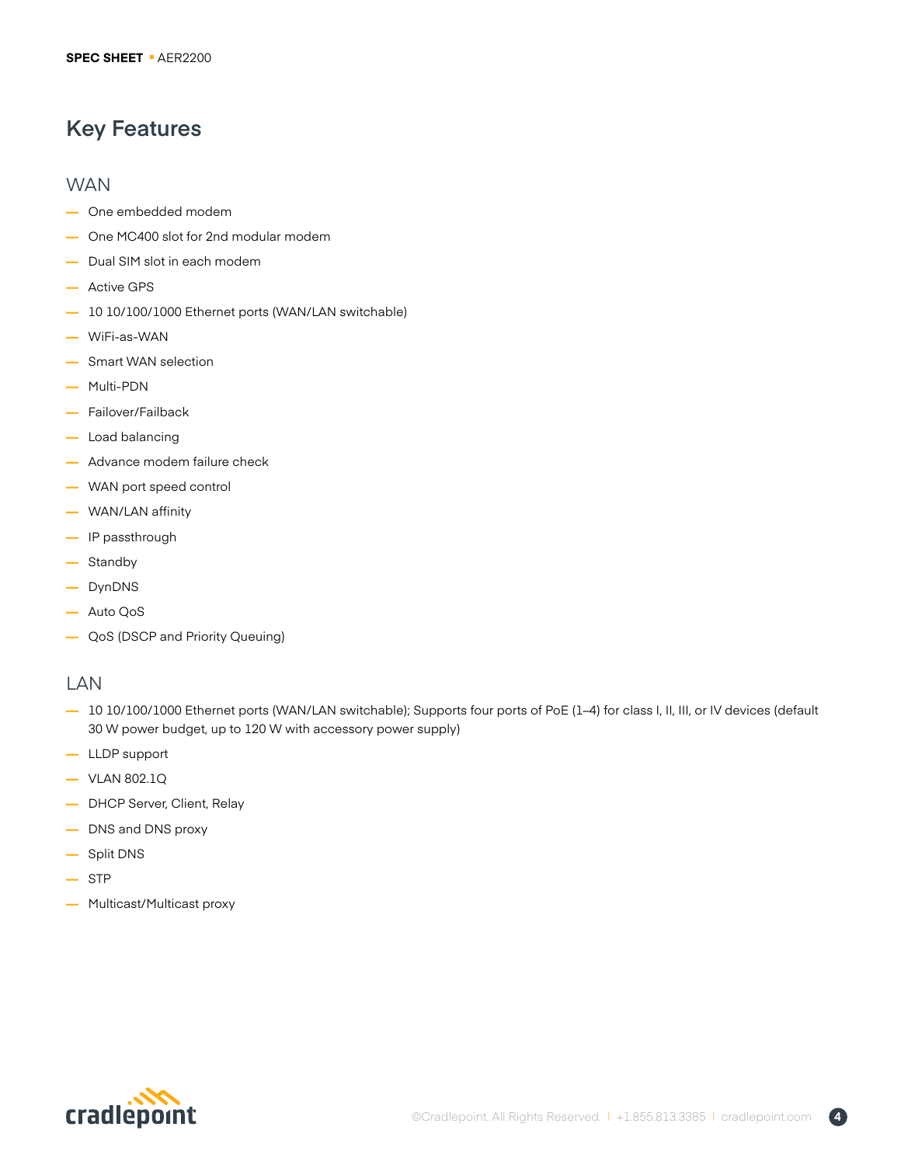# **Key Features**

## **WAN**

- **—** One embedded modem
- **—** One MC400 slot for 2nd modular modem
- **—** Dual SIM slot in each modem
- **—** Active GPS
- **—** 10 10/100/1000 Ethernet ports (WAN/LAN switchable)
- **—** WiFi-as-WAN
- **—** Smart WAN selection
- **—** Multi-PDN
- **—** Failover/Failback
- **—** Load balancing
- **—** Advance modem failure check
- **—** WAN port speed control
- **—** WAN/LAN affinity
- **—** IP passthrough
- **—** Standby
- **—** DynDNS
- **—** Auto QoS
- **—** QoS (DSCP and Priority Queuing)

## LAN

- **—** 10 10/100/1000 Ethernet ports (WAN/LAN switchable); Supports four ports of PoE (1–4) for class I, II, III, or IV devices (default 30 W power budget, up to 120 W with accessory power supply)
- **—** LLDP support
- **—** VLAN 802.1Q
- **—** DHCP Server, Client, Relay
- **—** DNS and DNS proxy
- **—** Split DNS
- **—** STP
- **—** Multicast/Multicast proxy

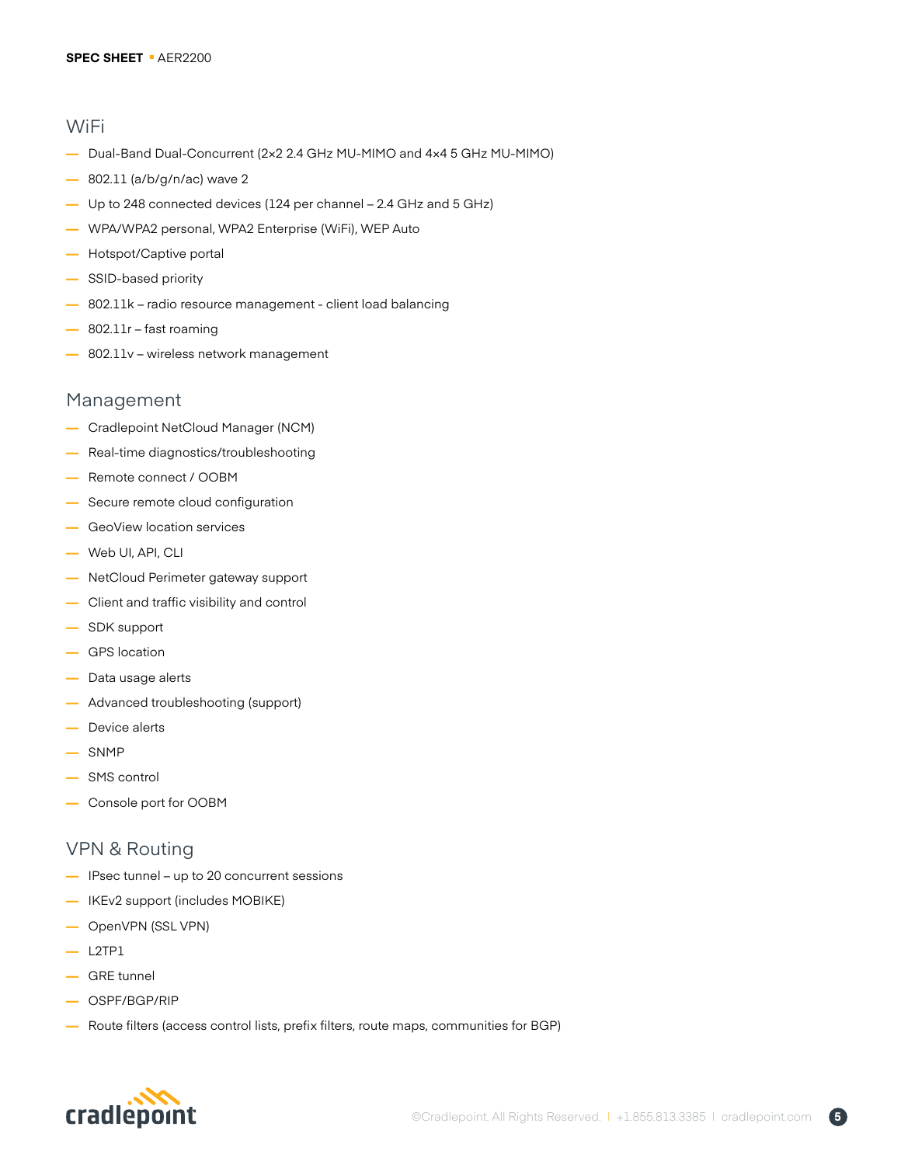### WiFi

- **—** Dual-Band Dual-Concurrent (2×2 2.4 GHz MU-MIMO and 4×4 5 GHz MU-MIMO)
- **—** 802.11 (a/b/g/n/ac) wave 2
- **—** Up to 248 connected devices (124 per channel 2.4 GHz and 5 GHz)
- **—** WPA/WPA2 personal, WPA2 Enterprise (WiFi), WEP Auto
- **—** Hotspot/Captive portal
- **—** SSID-based priority
- **—** 802.11k radio resource management client load balancing
- **—** 802.11r fast roaming
- **—** 802.11v wireless network management

## Management

- **—** Cradlepoint NetCloud Manager (NCM)
- **—** Real-time diagnostics/troubleshooting
- **—** Remote connect / OOBM
- **—** Secure remote cloud configuration
- **—** GeoView location services
- **—** Web UI, API, CLI
- **—** NetCloud Perimeter gateway support
- **—** Client and traffic visibility and control
- **—** SDK support
- **—** GPS location
- **—** Data usage alerts
- **—** Advanced troubleshooting (support)
- **—** Device alerts
- **—** SNMP
- **—** SMS control
- **—** Console port for OOBM

## VPN & Routing

- **—** IPsec tunnel up to 20 concurrent sessions
- **—** IKEv2 support (includes MOBIKE)
- **—** OpenVPN (SSL VPN)
- **—** L2TP1
- **—** GRE tunnel
- **—** OSPF/BGP/RIP
- **—** Route filters (access control lists, prefix filters, route maps, communities for BGP)

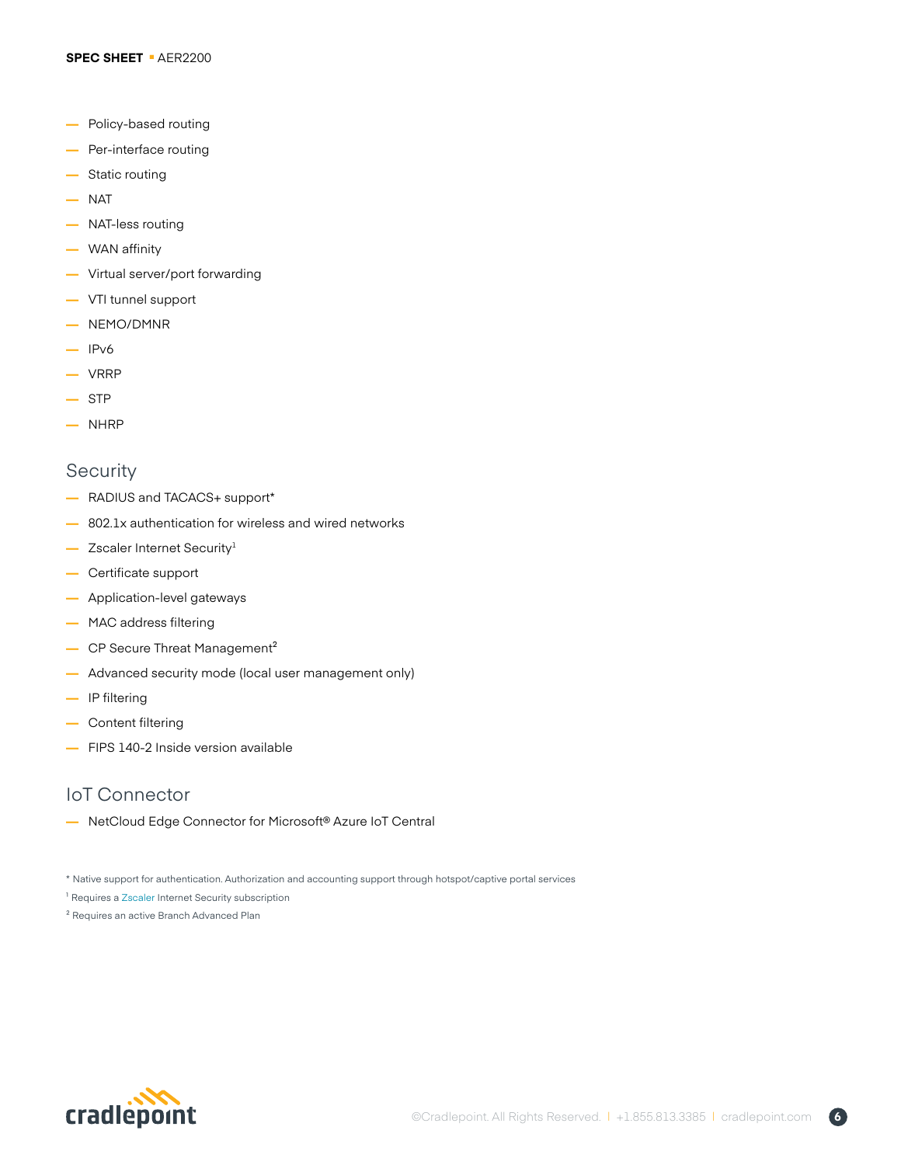- **—** Policy-based routing
- **—** Per-interface routing
- **—** Static routing
- **—** NAT
- **—** NAT-less routing
- **—** WAN affinity
- **—** Virtual server/port forwarding
- **—** VTI tunnel support
- **—** NEMO/DMNR
- **—** IPv6
- **—** VRRP
- **—** STP
- **—** NHRP

## **Security**

- **—** RADIUS and TACACS+ support\*
- **—** 802.1x authentication for wireless and wired networks
- **—** Zscaler Internet Security1
- **—** Certificate support
- **—** Application-level gateways
- **—** MAC address filtering
- **—** CP Secure Threat Management²
- **—** Advanced security mode (local user management only)
- **—** IP filtering
- **—** Content filtering
- **—** FIPS 140-2 Inside version available

## IoT Connector

**—** NetCloud Edge Connector for Microsoft® Azure IoT Central

- <sup>1</sup> Requires a [Zscaler](https://cradlepoint.com/product/zscaler-internet-security) Internet Security subscription
- ² Requires an active Branch Advanced Plan



<sup>\*</sup> Native support for authentication. Authorization and accounting support through hotspot/captive portal services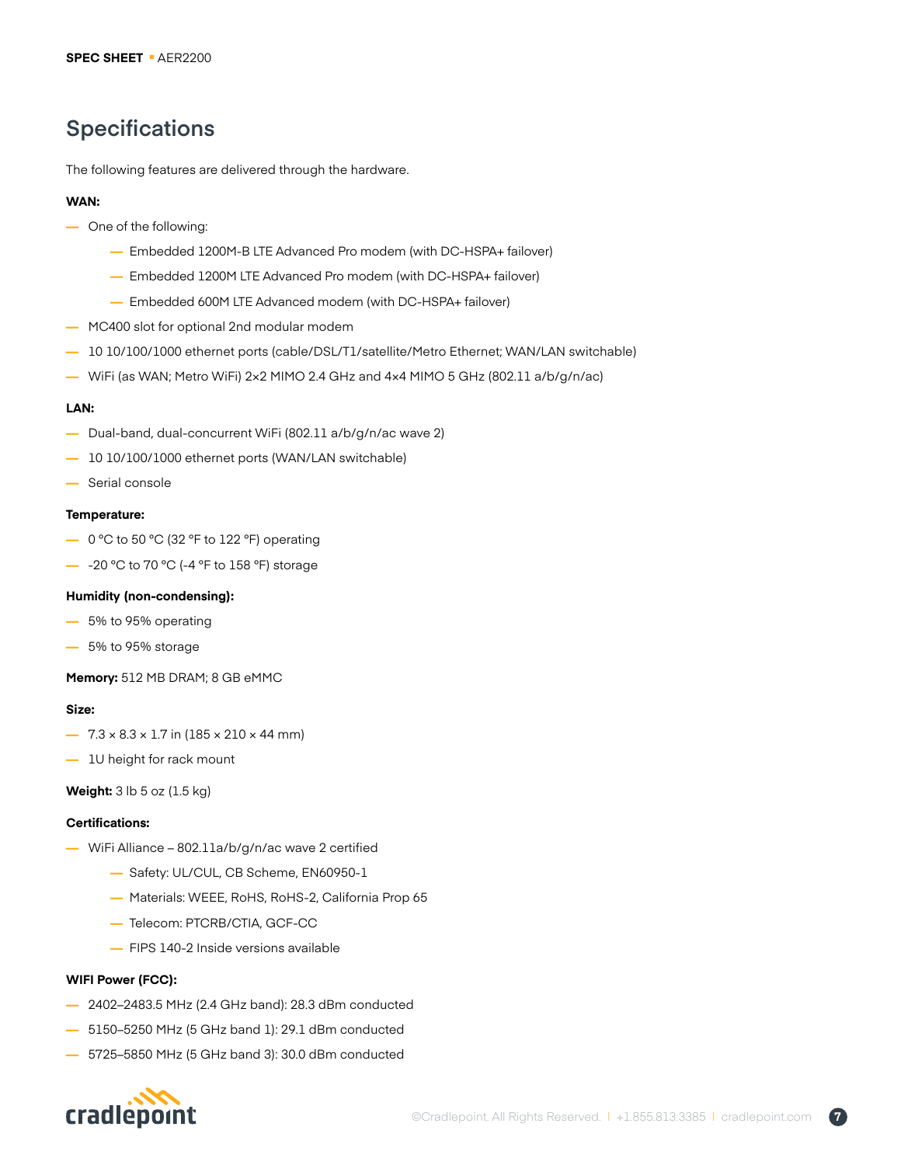# **Specifications**

The following features are delivered through the hardware.

#### **WAN:**

- **—** One of the following:
	- **—** Embedded 1200M-B LTE Advanced Pro modem (with DC-HSPA+ failover)
	- **—** Embedded 1200M LTE Advanced Pro modem (with DC-HSPA+ failover)
	- **—** Embedded 600M LTE Advanced modem (with DC-HSPA+ failover)
- **—** MC400 slot for optional 2nd modular modem
- **—** 10 10/100/1000 ethernet ports (cable/DSL/T1/satellite/Metro Ethernet; WAN/LAN switchable)
- **—** WiFi (as WAN; Metro WiFi) 2×2 MIMO 2.4 GHz and 4×4 MIMO 5 GHz (802.11 a/b/g/n/ac)

#### **LAN:**

- **—** Dual-band, dual-concurrent WiFi (802.11 a/b/g/n/ac wave 2)
- **—** 10 10/100/1000 ethernet ports (WAN/LAN switchable)
- **—** Serial console

#### **Temperature:**

- **—** 0 °C to 50 °C (32 °F to 122 °F) operating
- **—** -20 °C to 70 °C (-4 °F to 158 °F) storage

#### **Humidity (non-condensing):**

- **—** 5% to 95% operating
- **—** 5% to 95% storage

**Memory:** 512 MB DRAM; 8 GB eMMC

#### **Size:**

- **—** 7.3 × 8.3 × 1.7 in (185 × 210 × 44 mm)
- **—** 1U height for rack mount

**Weight:** 3 lb 5 oz (1.5 kg)

#### **Certifications:**

- **—** WiFi Alliance 802.11a/b/g/n/ac wave 2 certified
	- **—** Safety: UL/CUL, CB Scheme, EN60950-1
	- **—** Materials: WEEE, RoHS, RoHS-2, California Prop 65
	- **—** Telecom: PTCRB/CTIA, GCF-CC
	- **—** FIPS 140-2 Inside versions available

#### **WIFI Power (FCC):**

- **—** 2402–2483.5 MHz (2.4 GHz band): 28.3 dBm conducted
- **—** 5150–5250 MHz (5 GHz band 1): 29.1 dBm conducted
- **—** 5725–5850 MHz (5 GHz band 3): 30.0 dBm conducted

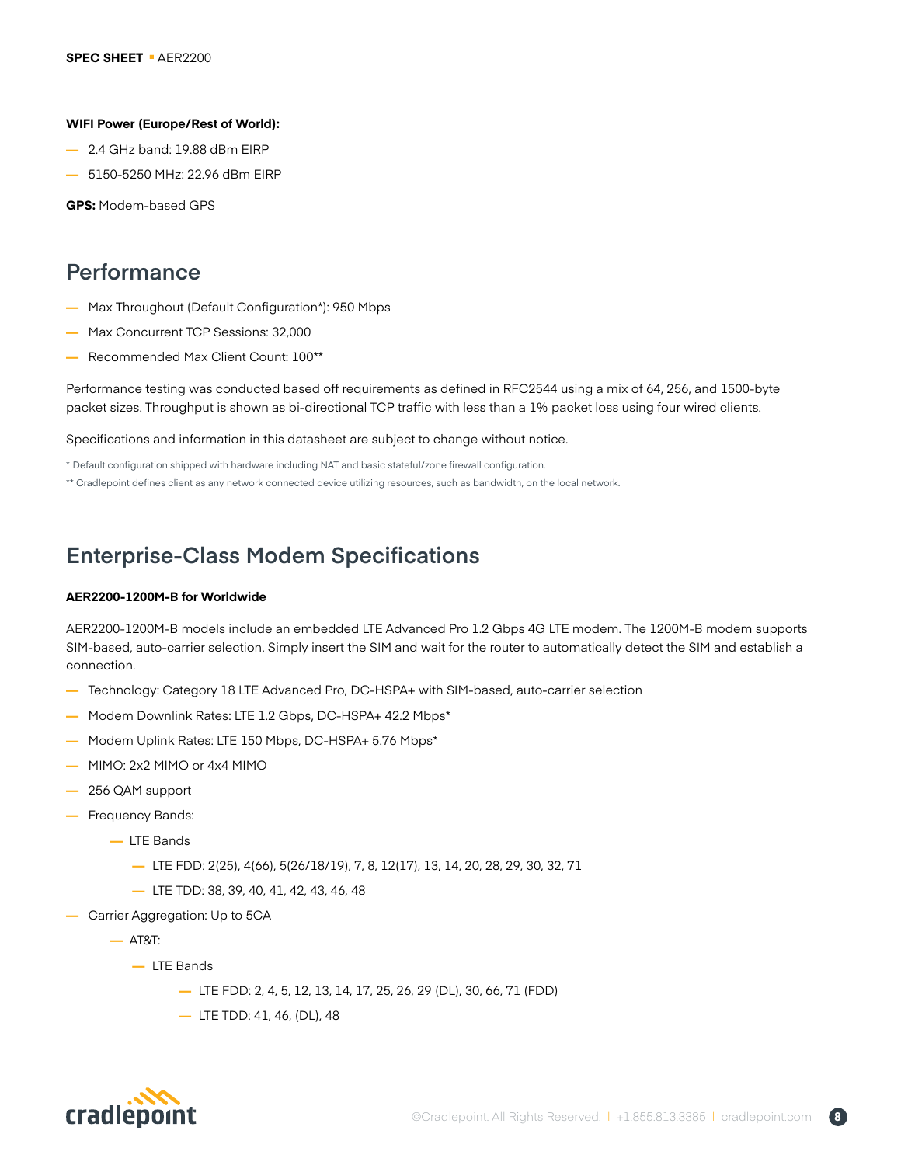#### **WIFI Power (Europe/Rest of World):**

- **—** 2.4 GHz band: 19.88 dBm EIRP
- **—** 5150-5250 MHz: 22.96 dBm EIRP

**GPS:** Modem-based GPS

# **Performance**

- **—** Max Throughout (Default Configuration\*): 950 Mbps
- **—** Max Concurrent TCP Sessions: 32,000
- **—** Recommended Max Client Count: 100\*\*

Performance testing was conducted based off requirements as defined in RFC2544 using a mix of 64, 256, and 1500-byte packet sizes. Throughput is shown as bi-directional TCP traffic with less than a 1% packet loss using four wired clients.

Specifications and information in this datasheet are subject to change without notice.

\* Default configuration shipped with hardware including NAT and basic stateful/zone firewall configuration.

\*\* Cradlepoint defines client as any network connected device utilizing resources, such as bandwidth, on the local network.

# **Enterprise-Class Modem Specifications**

#### **AER2200-1200M-B for Worldwide**

AER2200-1200M-B models include an embedded LTE Advanced Pro 1.2 Gbps 4G LTE modem. The 1200M-B modem supports SIM-based, auto-carrier selection. Simply insert the SIM and wait for the router to automatically detect the SIM and establish a connection.

- **—** Technology: Category 18 LTE Advanced Pro, DC-HSPA+ with SIM-based, auto-carrier selection
- **—** Modem Downlink Rates: LTE 1.2 Gbps, DC-HSPA+ 42.2 Mbps\*
- **—** Modem Uplink Rates: LTE 150 Mbps, DC-HSPA+ 5.76 Mbps\*
- **—** MIMO: 2x2 MIMO or 4x4 MIMO
- **—** 256 QAM support
- **—** Frequency Bands:
	- **—** LTE Bands
		- **—** LTE FDD: 2(25), 4(66), 5(26/18/19), 7, 8, 12(17), 13, 14, 20, 28, 29, 30, 32, 71
		- **—** LTE TDD: 38, 39, 40, 41, 42, 43, 46, 48
- **—** Carrier Aggregation: Up to 5CA
	- **—** AT&T:
		- **—** LTE Bands
			- **—** LTE FDD: 2, 4, 5, 12, 13, 14, 17, 25, 26, 29 (DL), 30, 66, 71 (FDD)
			- **—** LTE TDD: 41, 46, (DL), 48

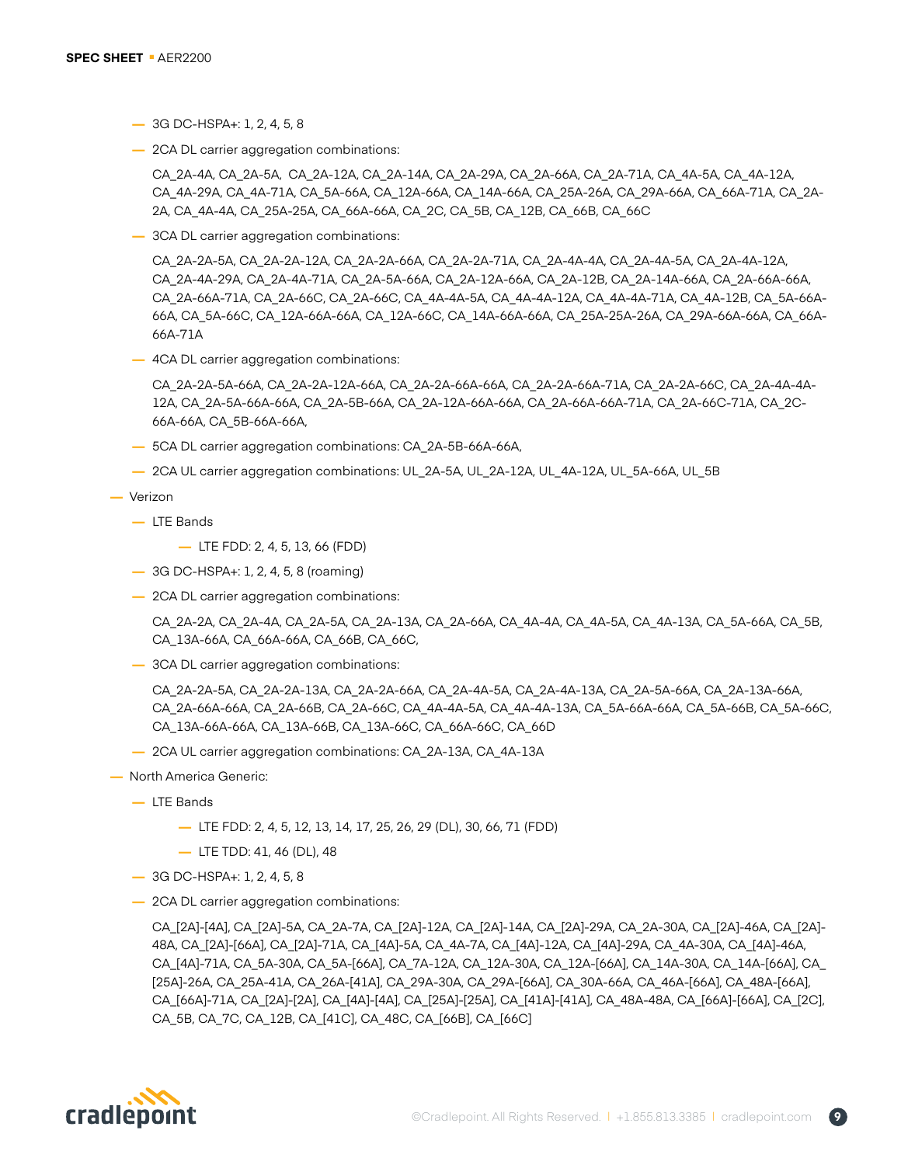- **—** 3G DC-HSPA+: 1, 2, 4, 5, 8
- **—** 2CA DL carrier aggregation combinations:

CA\_2A-4A, CA\_2A-5A, CA\_2A-12A, CA\_2A-14A, CA\_2A-29A, CA\_2A-66A, CA\_2A-71A, CA\_4A-5A, CA\_4A-12A, CA\_4A-29A, CA\_4A-71A, CA\_5A-66A, CA\_12A-66A, CA\_14A-66A, CA\_25A-26A, CA\_29A-66A, CA\_66A-71A, CA\_2A-2A, CA\_4A-4A, CA\_25A-25A, CA\_66A-66A, CA\_2C, CA\_5B, CA\_12B, CA\_66B, CA\_66C

**—** 3CA DL carrier aggregation combinations:

CA\_2A-2A-5A, CA\_2A-2A-12A, CA\_2A-2A-66A, CA\_2A-2A-71A, CA\_2A-4A-4A, CA\_2A-4A-5A, CA\_2A-4A-12A, CA\_2A-4A-29A, CA\_2A-4A-71A, CA\_2A-5A-66A, CA\_2A-12A-66A, CA\_2A-12B, CA\_2A-14A-66A, CA\_2A-66A-66A, CA\_2A-66A-71A, CA\_2A-66C, CA\_2A-66C, CA\_4A-4A-5A, CA\_4A-4A-12A, CA\_4A-4A-71A, CA\_4A-12B, CA\_5A-66A-66A, CA\_5A-66C, CA\_12A-66A-66A, CA\_12A-66C, CA\_14A-66A-66A, CA\_25A-25A-26A, CA\_29A-66A-66A, CA\_66A-66A-71A

**—** 4CA DL carrier aggregation combinations:

CA\_2A-2A-5A-66A, CA\_2A-2A-12A-66A, CA\_2A-2A-66A-66A, CA\_2A-2A-66A-71A, CA\_2A-2A-66C, CA\_2A-4A-4A-12A, CA\_2A-5A-66A-66A, CA\_2A-5B-66A, CA\_2A-12A-66A-66A, CA\_2A-66A-66A-71A, CA\_2A-66C-71A, CA\_2C-66A-66A, CA\_5B-66A-66A,

- **—** 5CA DL carrier aggregation combinations: CA\_2A-5B-66A-66A,
- **—** 2CA UL carrier aggregation combinations: UL\_2A-5A, UL\_2A-12A, UL\_4A-12A, UL\_5A-66A, UL\_5B

#### **—** Verizon

- **—** LTE Bands
	- **—** LTE FDD: 2, 4, 5, 13, 66 (FDD)
- **—** 3G DC-HSPA+: 1, 2, 4, 5, 8 (roaming)
- **—** 2CA DL carrier aggregation combinations:

CA\_2A-2A, CA\_2A-4A, CA\_2A-5A, CA\_2A-13A, CA\_2A-66A, CA\_4A-4A, CA\_4A-5A, CA\_4A-13A, CA\_5A-66A, CA\_5B, CA\_13A-66A, CA\_66A-66A, CA\_66B, CA\_66C,

**—** 3CA DL carrier aggregation combinations:

CA\_2A-2A-5A, CA\_2A-2A-13A, CA\_2A-2A-66A, CA\_2A-4A-5A, CA\_2A-4A-13A, CA\_2A-5A-66A, CA\_2A-13A-66A, CA\_2A-66A-66A, CA\_2A-66B, CA\_2A-66C, CA\_4A-4A-5A, CA\_4A-4A-13A, CA\_5A-66A-66A, CA\_5A-66B, CA\_5A-66C, CA\_13A-66A-66A, CA\_13A-66B, CA\_13A-66C, CA\_66A-66C, CA\_66D

- **—** 2CA UL carrier aggregation combinations: CA\_2A-13A, CA\_4A-13A
- **—** North America Generic:
	- **—** LTE Bands
		- **—** LTE FDD: 2, 4, 5, 12, 13, 14, 17, 25, 26, 29 (DL), 30, 66, 71 (FDD)
		- **—** LTE TDD: 41, 46 (DL), 48
	- **—** 3G DC-HSPA+: 1, 2, 4, 5, 8
	- **—** 2CA DL carrier aggregation combinations:

CA\_[2A]-[4A], CA\_[2A]-5A, CA\_2A-7A, CA\_[2A]-12A, CA\_[2A]-14A, CA\_[2A]-29A, CA\_2A-30A, CA\_[2A]-46A, CA\_[2A]- 48A, CA\_[2A]-[66A], CA\_[2A]-71A, CA\_[4A]-5A, CA\_4A-7A, CA\_[4A]-12A, CA\_[4A]-29A, CA\_4A-30A, CA\_[4A]-46A, CA\_[4A]-71A, CA\_5A-30A, CA\_5A-[66A], CA\_7A-12A, CA\_12A-30A, CA\_12A-[66A], CA\_14A-30A, CA\_14A-[66A], CA\_ [25A]-26A, CA\_25A-41A, CA\_26A-[41A], CA\_29A-30A, CA\_29A-[66A], CA\_30A-66A, CA\_46A-[66A], CA\_48A-[66A], CA\_[66A]-71A, CA\_[2A]-[2A], CA\_[4A]-[4A], CA\_[25A]-[25A], CA\_[41A]-[41A], CA\_48A-48A, CA\_[66A]-[66A], CA\_[2C], CA\_5B, CA\_7C, CA\_12B, CA\_[41C], CA\_48C, CA\_[66B], CA\_[66C]

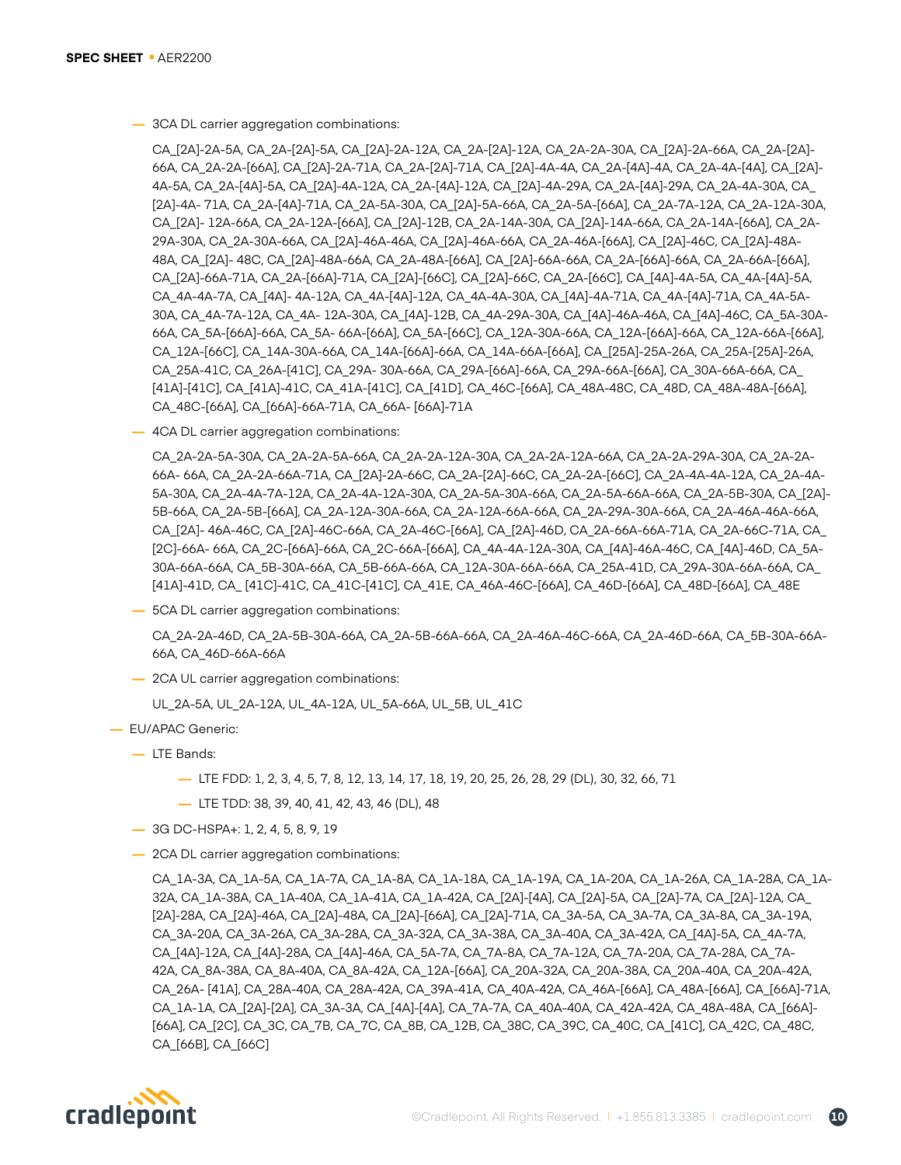**—** 3CA DL carrier aggregation combinations:

CA\_[2A]-2A-5A, CA\_2A-[2A]-5A, CA\_[2A]-2A-12A, CA\_2A-[2A]-12A, CA\_2A-2A-30A, CA\_[2A]-2A-66A, CA\_2A-[2A]- 66A, CA\_2A-2A-[66A], CA\_[2A]-2A-71A, CA\_2A-[2A]-71A, CA\_[2A]-4A-4A, CA\_2A-[4A]-4A, CA\_2A-4A-[4A], CA\_[2A]- 4A-5A, CA\_2A-[4A]-5A, CA\_[2A]-4A-12A, CA\_2A-[4A]-12A, CA\_[2A]-4A-29A, CA\_2A-[4A]-29A, CA\_2A-4A-30A, CA\_ [2A]-4A- 71A, CA\_2A-[4A]-71A, CA\_2A-5A-30A, CA\_[2A]-5A-66A, CA\_2A-5A-[66A], CA\_2A-7A-12A, CA\_2A-12A-30A, CA\_[2A]- 12A-66A, CA\_2A-12A-[66A], CA\_[2A]-12B, CA\_2A-14A-30A, CA\_[2A]-14A-66A, CA\_2A-14A-[66A], CA\_2A-29A-30A, CA\_2A-30A-66A, CA\_[2A]-46A-46A, CA\_[2A]-46A-66A, CA\_2A-46A-[66A], CA\_[2A]-46C, CA\_[2A]-48A-48A, CA\_[2A]- 48C, CA\_[2A]-48A-66A, CA\_2A-48A-[66A], CA\_[2A]-66A-66A, CA\_2A-[66A]-66A, CA\_2A-66A-[66A], CA\_[2A]-66A-71A, CA\_2A-[66A]-71A, CA\_[2A]-[66C], CA\_[2A]-66C, CA\_2A-[66C], CA\_[4A]-4A-5A, CA\_4A-[4A]-5A, CA\_4A-4A-7A, CA\_[4A]- 4A-12A, CA\_4A-[4A]-12A, CA\_4A-4A-30A, CA\_[4A]-4A-71A, CA\_4A-[4A]-71A, CA\_4A-5A-30A, CA\_4A-7A-12A, CA\_4A- 12A-30A, CA\_[4A]-12B, CA\_4A-29A-30A, CA\_[4A]-46A-46A, CA\_[4A]-46C, CA\_5A-30A-66A, CA\_5A-[66A]-66A, CA\_5A- 66A-[66A], CA\_5A-[66C], CA\_12A-30A-66A, CA\_12A-[66A]-66A, CA\_12A-66A-[66A], CA\_12A-[66C], CA\_14A-30A-66A, CA\_14A-[66A]-66A, CA\_14A-66A-[66A], CA\_[25A]-25A-26A, CA\_25A-[25A]-26A, CA\_25A-41C, CA\_26A-[41C], CA\_29A- 30A-66A, CA\_29A-[66A]-66A, CA\_29A-66A-[66A], CA\_30A-66A-66A, CA\_ [41A]-[41C], CA\_[41A]-41C, CA\_41A-[41C], CA\_[41D], CA\_46C-[66A], CA\_48A-48C, CA\_48D, CA\_48A-48A-[66A], CA\_48C-[66A], CA\_[66A]-66A-71A, CA\_66A- [66A]-71A

**—** 4CA DL carrier aggregation combinations:

CA\_2A-2A-5A-30A, CA\_2A-2A-5A-66A, CA\_2A-2A-12A-30A, CA\_2A-2A-12A-66A, CA\_2A-2A-29A-30A, CA\_2A-2A-66A- 66A, CA\_2A-2A-66A-71A, CA\_[2A]-2A-66C, CA\_2A-[2A]-66C, CA\_2A-2A-[66C], CA\_2A-4A-4A-12A, CA\_2A-4A-5A-30A, CA\_2A-4A-7A-12A, CA\_2A-4A-12A-30A, CA\_2A-5A-30A-66A, CA\_2A-5A-66A-66A, CA\_2A-5B-30A, CA\_[2A]- 5B-66A, CA\_2A-5B-[66A], CA\_2A-12A-30A-66A, CA\_2A-12A-66A-66A, CA\_2A-29A-30A-66A, CA\_2A-46A-46A-66A, CA\_[2A]- 46A-46C, CA\_[2A]-46C-66A, CA\_2A-46C-[66A], CA\_[2A]-46D, CA\_2A-66A-66A-71A, CA\_2A-66C-71A, CA\_ [2C]-66A- 66A, CA\_2C-[66A]-66A, CA\_2C-66A-[66A], CA\_4A-4A-12A-30A, CA\_[4A]-46A-46C, CA\_[4A]-46D, CA\_5A-30A-66A-66A, CA\_5B-30A-66A, CA\_5B-66A-66A, CA\_12A-30A-66A-66A, CA\_25A-41D, CA\_29A-30A-66A-66A, CA\_ [41A]-41D, CA\_ [41C]-41C, CA\_41C-[41C], CA\_41E, CA\_46A-46C-[66A], CA\_46D-[66A], CA\_48D-[66A], CA\_48E

**—** 5CA DL carrier aggregation combinations:

CA\_2A-2A-46D, CA\_2A-5B-30A-66A, CA\_2A-5B-66A-66A, CA\_2A-46A-46C-66A, CA\_2A-46D-66A, CA\_5B-30A-66A-66A, CA\_46D-66A-66A

**—** 2CA UL carrier aggregation combinations:

UL\_2A-5A, UL\_2A-12A, UL\_4A-12A, UL\_5A-66A, UL\_5B, UL\_41C

- **—** EU/APAC Generic:
	- **—** LTE Bands:
		- **—** LTE FDD: 1, 2, 3, 4, 5, 7, 8, 12, 13, 14, 17, 18, 19, 20, 25, 26, 28, 29 (DL), 30, 32, 66, 71
		- **—** LTE TDD: 38, 39, 40, 41, 42, 43, 46 (DL), 48
	- **—** 3G DC-HSPA+: 1, 2, 4, 5, 8, 9, 19
	- **—** 2CA DL carrier aggregation combinations:

CA\_1A-3A, CA\_1A-5A, CA\_1A-7A, CA\_1A-8A, CA\_1A-18A, CA\_1A-19A, CA\_1A-20A, CA\_1A-26A, CA\_1A-28A, CA\_1A-32A, CA\_1A-38A, CA\_1A-40A, CA\_1A-41A, CA\_1A-42A, CA\_[2A]-[4A], CA\_[2A]-5A, CA\_[2A]-7A, CA\_[2A]-12A, CA\_ [2A]-28A, CA\_[2A]-46A, CA\_[2A]-48A, CA\_[2A]-[66A], CA\_[2A]-71A, CA\_3A-5A, CA\_3A-7A, CA\_3A-8A, CA\_3A-19A, CA\_3A-20A, CA\_3A-26A, CA\_3A-28A, CA\_3A-32A, CA\_3A-38A, CA\_3A-40A, CA\_3A-42A, CA\_[4A]-5A, CA\_4A-7A, CA\_[4A]-12A, CA\_[4A]-28A, CA\_[4A]-46A, CA\_5A-7A, CA\_7A-8A, CA\_7A-12A, CA\_7A-20A, CA\_7A-28A, CA\_7A-42A, CA\_8A-38A, CA\_8A-40A, CA\_8A-42A, CA\_12A-[66A], CA\_20A-32A, CA\_20A-38A, CA\_20A-40A, CA\_20A-42A, CA\_26A- [41A], CA\_28A-40A, CA\_28A-42A, CA\_39A-41A, CA\_40A-42A, CA\_46A-[66A], CA\_48A-[66A], CA\_[66A]-71A, CA\_1A-1A, CA\_[2A]-[2A], CA\_3A-3A, CA\_[4A]-[4A], CA\_7A-7A, CA\_40A-40A, CA\_42A-42A, CA\_48A-48A, CA\_[66A]- [66A], CA\_[2C], CA\_3C, CA\_7B, CA\_7C, CA\_8B, CA\_12B, CA\_38C, CA\_39C, CA\_40C, CA\_[41C], CA\_42C, CA\_48C, CA\_[66B], CA\_[66C]

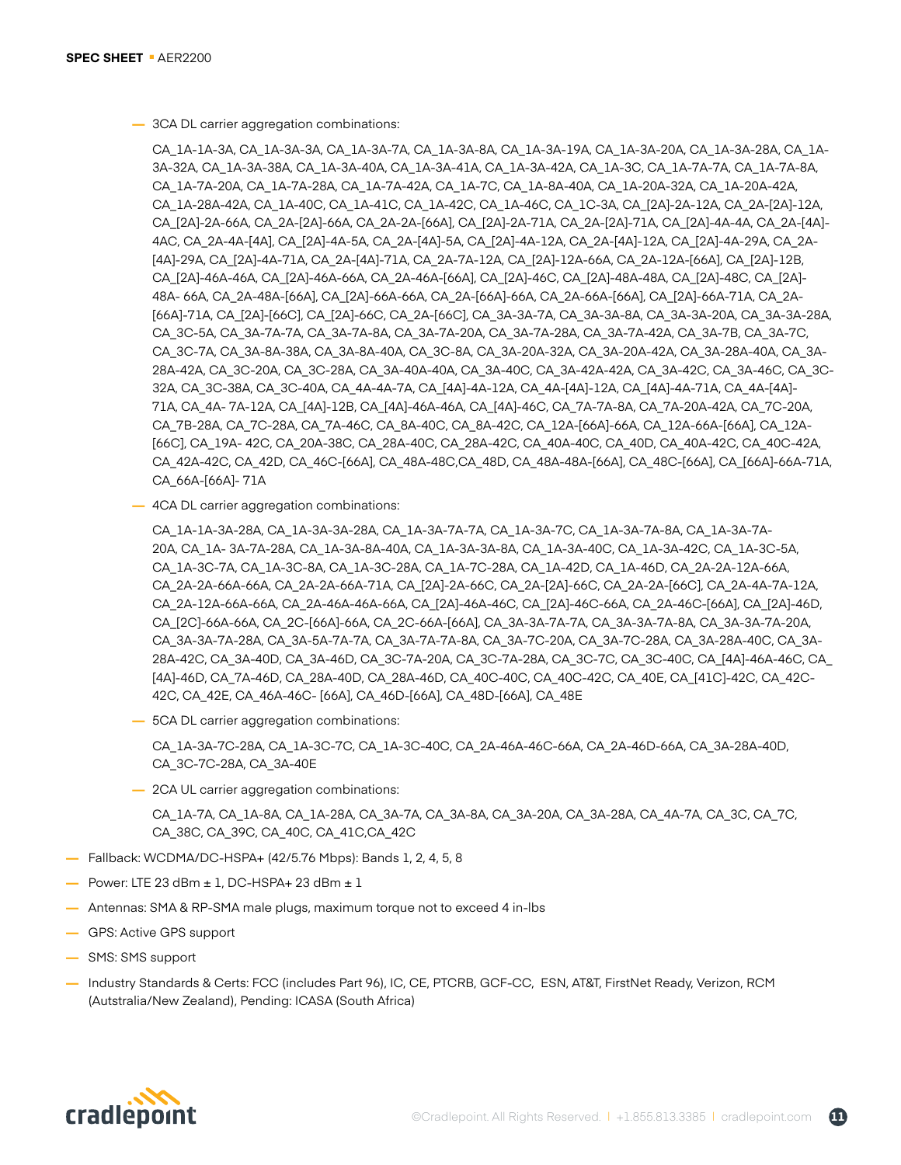**—** 3CA DL carrier aggregation combinations:

CA\_1A-1A-3A, CA\_1A-3A-3A, CA\_1A-3A-7A, CA\_1A-3A-8A, CA\_1A-3A-19A, CA\_1A-3A-20A, CA\_1A-3A-28A, CA\_1A-3A-32A, CA\_1A-3A-38A, CA\_1A-3A-40A, CA\_1A-3A-41A, CA\_1A-3A-42A, CA\_1A-3C, CA\_1A-7A-7A, CA\_1A-7A-8A, CA\_1A-7A-20A, CA\_1A-7A-28A, CA\_1A-7A-42A, CA\_1A-7C, CA\_1A-8A-40A, CA\_1A-20A-32A, CA\_1A-20A-42A, CA\_1A-28A-42A, CA\_1A-40C, CA\_1A-41C, CA\_1A-42C, CA\_1A-46C, CA\_1C-3A, CA\_[2A]-2A-12A, CA\_2A-[2A]-12A, CA\_[2A]-2A-66A, CA\_2A-[2A]-66A, CA\_2A-2A-[66A], CA\_[2A]-2A-71A, CA\_2A-[2A]-71A, CA\_[2A]-4A-4A, CA\_2A-[4A]- 4AC, CA\_2A-4A-[4A], CA\_[2A]-4A-5A, CA\_2A-[4A]-5A, CA\_[2A]-4A-12A, CA\_2A-[4A]-12A, CA\_[2A]-4A-29A, CA\_2A- [4A]-29A, CA\_[2A]-4A-71A, CA\_2A-[4A]-71A, CA\_2A-7A-12A, CA\_[2A]-12A-66A, CA\_2A-12A-[66A], CA\_[2A]-12B, CA\_[2A]-46A-46A, CA\_[2A]-46A-66A, CA\_2A-46A-[66A], CA\_[2A]-46C, CA\_[2A]-48A-48A, CA\_[2A]-48C, CA\_[2A]- 48A- 66A, CA\_2A-48A-[66A], CA\_[2A]-66A-66A, CA\_2A-[66A]-66A, CA\_2A-66A-[66A], CA\_[2A]-66A-71A, CA\_2A- [66A]-71A, CA\_[2A]-[66C], CA\_[2A]-66C, CA\_2A-[66C], CA\_3A-3A-7A, CA\_3A-3A-8A, CA\_3A-3A-20A, CA\_3A-3A-28A, CA\_3C-5A, CA\_3A-7A-7A, CA\_3A-7A-8A, CA\_3A-7A-20A, CA\_3A-7A-28A, CA\_3A-7A-42A, CA\_3A-7B, CA\_3A-7C, CA\_3C-7A, CA\_3A-8A-38A, CA\_3A-8A-40A, CA\_3C-8A, CA\_3A-20A-32A, CA\_3A-20A-42A, CA\_3A-28A-40A, CA\_3A-28A-42A, CA\_3C-20A, CA\_3C-28A, CA\_3A-40A-40A, CA\_3A-40C, CA\_3A-42A-42A, CA\_3A-42C, CA\_3A-46C, CA\_3C-32A, CA\_3C-38A, CA\_3C-40A, CA\_4A-4A-7A, CA\_[4A]-4A-12A, CA\_4A-[4A]-12A, CA\_[4A]-4A-71A, CA\_4A-[4A]- 71A, CA\_4A- 7A-12A, CA\_[4A]-12B, CA\_[4A]-46A-46A, CA\_[4A]-46C, CA\_7A-7A-8A, CA\_7A-20A-42A, CA\_7C-20A, CA\_7B-28A, CA\_7C-28A, CA\_7A-46C, CA\_8A-40C, CA\_8A-42C, CA\_12A-[66A]-66A, CA\_12A-66A-[66A], CA\_12A- [66C], CA\_19A- 42C, CA\_20A-38C, CA\_28A-40C, CA\_28A-42C, CA\_40A-40C, CA\_40D, CA\_40A-42C, CA\_40C-42A, CA\_42A-42C, CA\_42D, CA\_46C-[66A], CA\_48A-48C,CA\_48D, CA\_48A-48A-[66A], CA\_48C-[66A], CA\_[66A]-66A-71A, CA\_66A-[66A]- 71A

**—** 4CA DL carrier aggregation combinations:

```
CA_1A-1A-3A-28A, CA_1A-3A-3A-28A, CA_1A-3A-7A-7A, CA_1A-3A-7C, CA_1A-3A-7A-8A, CA_1A-3A-7A-
20A, CA_1A- 3A-7A-28A, CA_1A-3A-8A-40A, CA_1A-3A-3A-8A, CA_1A-3A-40C, CA_1A-3A-42C, CA_1A-3C-5A, 
CA_1A-3C-7A, CA_1A-3C-8A, CA_1A-3C-28A, CA_1A-7C-28A, CA_1A-42D, CA_1A-46D, CA_2A-2A-12A-66A, 
CA_2A-2A-66A-66A, CA_2A-2A-66A-71A, CA_[2A]-2A-66C, CA_2A-[2A]-66C, CA_2A-2A-[66C], CA_2A-4A-7A-12A, 
CA_2A-12A-66A-66A, CA_2A-46A-46A-66A, CA_[2A]-46A-46C, CA_[2A]-46C-66A, CA_2A-46C-[66A], CA_[2A]-46D, 
CA_[2C]-66A-66A, CA_2C-[66A]-66A, CA_2C-66A-[66A], CA_3A-3A-7A-7A, CA_3A-3A-7A-8A, CA_3A-3A-7A-20A, 
CA_3A-3A-7A-28A, CA_3A-5A-7A-7A, CA_3A-7A-7A-8A, CA_3A-7C-20A, CA_3A-7C-28A, CA_3A-28A-40C, CA_3A-
28A-42C, CA_3A-40D, CA_3A-46D, CA_3C-7A-20A, CA_3C-7A-28A, CA_3C-7C, CA_3C-40C, CA_[4A]-46A-46C, CA_
[4A]-46D, CA_7A-46D, CA_28A-40D, CA_28A-46D, CA_40C-40C, CA_40C-42C, CA_40E, CA_[41C]-42C, CA_42C-
42C, CA_42E, CA_46A-46C- [66A], CA_46D-[66A], CA_48D-[66A], CA_48E
```
**—** 5CA DL carrier aggregation combinations:

CA\_1A-3A-7C-28A, CA\_1A-3C-7C, CA\_1A-3C-40C, CA\_2A-46A-46C-66A, CA\_2A-46D-66A, CA\_3A-28A-40D, CA\_3C-7C-28A, CA\_3A-40E

**—** 2CA UL carrier aggregation combinations:

CA\_1A-7A, CA\_1A-8A, CA\_1A-28A, CA\_3A-7A, CA\_3A-8A, CA\_3A-20A, CA\_3A-28A, CA\_4A-7A, CA\_3C, CA\_7C, CA\_38C, CA\_39C, CA\_40C, CA\_41C,CA\_42C

- **—** Fallback: WCDMA/DC-HSPA+ (42/5.76 Mbps): Bands 1, 2, 4, 5, 8
- **—** Power: LTE 23 dBm ± 1, DC-HSPA+ 23 dBm ± 1
- **—** Antennas: SMA & RP-SMA male plugs, maximum torque not to exceed 4 in-lbs
- **—** GPS: Active GPS support
- **—** SMS: SMS support
- **—** Industry Standards & Certs: FCC (includes Part 96), IC, CE, PTCRB, GCF-CC, ESN, AT&T, FirstNet Ready, Verizon, RCM (Autstralia/New Zealand), Pending: ICASA (South Africa)

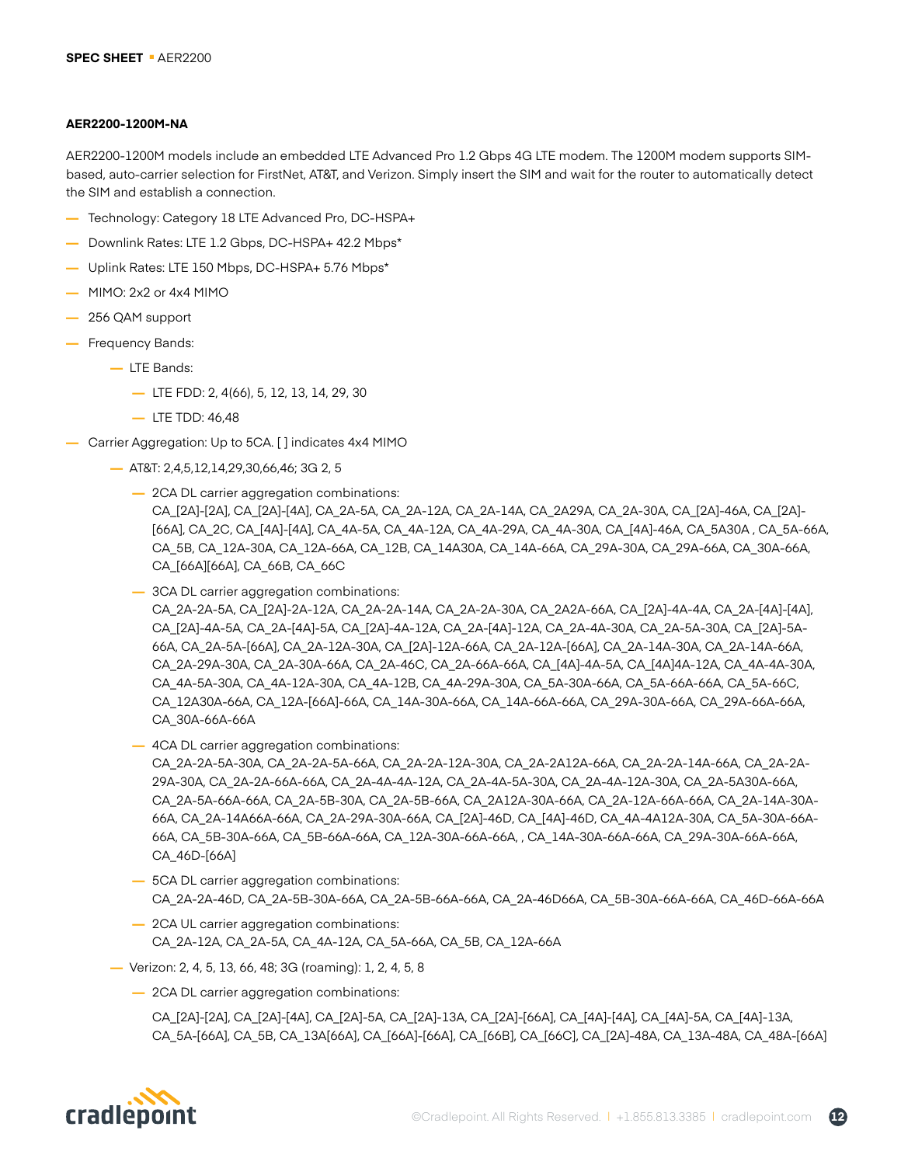#### **AER2200-1200M-NA**

AER2200-1200M models include an embedded LTE Advanced Pro 1.2 Gbps 4G LTE modem. The 1200M modem supports SIMbased, auto-carrier selection for FirstNet, AT&T, and Verizon. Simply insert the SIM and wait for the router to automatically detect the SIM and establish a connection.

- **—** Technology: Category 18 LTE Advanced Pro, DC-HSPA+
- **—** Downlink Rates: LTE 1.2 Gbps, DC-HSPA+ 42.2 Mbps\*
- **—** Uplink Rates: LTE 150 Mbps, DC-HSPA+ 5.76 Mbps\*
- **—** MIMO: 2x2 or 4x4 MIMO
- **—** 256 QAM support
- **—** Frequency Bands:
	- **—** LTE Bands:
		- **—** LTE FDD: 2, 4(66), 5, 12, 13, 14, 29, 30
		- **—** LTE TDD: 46,48
- **—** Carrier Aggregation: Up to 5CA. [ ] indicates 4x4 MIMO
	- **—** AT&T: 2,4,5,12,14,29,30,66,46; 3G 2, 5
		- **—** 2CA DL carrier aggregation combinations: CA\_[2A]-[2A], CA\_[2A]-[4A], CA\_2A-5A, CA\_2A-12A, CA\_2A-14A, CA\_2A29A, CA\_2A-30A, CA\_[2A]-46A, CA\_[2A]- [66A], CA\_2C, CA\_[4A]-[4A], CA\_4A-5A, CA\_4A-12A, CA\_4A-29A, CA\_4A-30A, CA\_[4A]-46A, CA\_5A30A , CA\_5A-66A, CA\_5B, CA\_12A-30A, CA\_12A-66A, CA\_12B, CA\_14A30A, CA\_14A-66A, CA\_29A-30A, CA\_29A-66A, CA\_30A-66A, CA\_[66A][66A], CA\_66B, CA\_66C
		- **—** 3CA DL carrier aggregation combinations: CA\_2A-2A-5A, CA\_[2A]-2A-12A, CA\_2A-2A-14A, CA\_2A-2A-30A, CA\_2A2A-66A, CA\_[2A]-4A-4A, CA\_2A-[4A]-[4A], CA\_[2A]-4A-5A, CA\_2A-[4A]-5A, CA\_[2A]-4A-12A, CA\_2A-[4A]-12A, CA\_2A-4A-30A, CA\_2A-5A-30A, CA\_[2A]-5A-66A, CA\_2A-5A-[66A], CA\_2A-12A-30A, CA\_[2A]-12A-66A, CA\_2A-12A-[66A], CA\_2A-14A-30A, CA\_2A-14A-66A, CA\_2A-29A-30A, CA\_2A-30A-66A, CA\_2A-46C, CA\_2A-66A-66A, CA\_[4A]-4A-5A, CA\_[4A]4A-12A, CA\_4A-4A-30A, CA\_4A-5A-30A, CA\_4A-12A-30A, CA\_4A-12B, CA\_4A-29A-30A, CA\_5A-30A-66A, CA\_5A-66A-66A, CA\_5A-66C, CA\_12A30A-66A, CA\_12A-[66A]-66A, CA\_14A-30A-66A, CA\_14A-66A-66A, CA\_29A-30A-66A, CA\_29A-66A-66A, CA\_30A-66A-66A
		- **—** 4CA DL carrier aggregation combinations:

CA\_2A-2A-5A-30A, CA\_2A-2A-5A-66A, CA\_2A-2A-12A-30A, CA\_2A-2A12A-66A, CA\_2A-2A-14A-66A, CA\_2A-2A-29A-30A, CA\_2A-2A-66A-66A, CA\_2A-4A-4A-12A, CA\_2A-4A-5A-30A, CA\_2A-4A-12A-30A, CA\_2A-5A30A-66A, CA\_2A-5A-66A-66A, CA\_2A-5B-30A, CA\_2A-5B-66A, CA\_2A12A-30A-66A, CA\_2A-12A-66A-66A, CA\_2A-14A-30A-66A, CA\_2A-14A66A-66A, CA\_2A-29A-30A-66A, CA\_[2A]-46D, CA\_[4A]-46D, CA\_4A-4A12A-30A, CA\_5A-30A-66A-66A, CA\_5B-30A-66A, CA\_5B-66A-66A, CA\_12A-30A-66A-66A, , CA\_14A-30A-66A-66A, CA\_29A-30A-66A-66A, CA\_46D-[66A]

- **—** 5CA DL carrier aggregation combinations: CA\_2A-2A-46D, CA\_2A-5B-30A-66A, CA\_2A-5B-66A-66A, CA\_2A-46D66A, CA\_5B-30A-66A-66A, CA\_46D-66A-66A
- **—** 2CA UL carrier aggregation combinations: CA\_2A-12A, CA\_2A-5A, CA\_4A-12A, CA\_5A-66A, CA\_5B, CA\_12A-66A
- **—** Verizon: 2, 4, 5, 13, 66, 48; 3G (roaming): 1, 2, 4, 5, 8
	- **—** 2CA DL carrier aggregation combinations:

CA\_[2A]-[2A], CA\_[2A]-[4A], CA\_[2A]-5A, CA\_[2A]-13A, CA\_[2A]-[66A], CA\_[4A]-[4A], CA\_[4A]-5A, CA\_[4A]-13A, CA\_5A-[66A], CA\_5B, CA\_13A[66A], CA\_[66A]-[66A], CA\_[66B], CA\_[66C], CA\_[2A]-48A, CA\_13A-48A, CA\_48A-[66A]

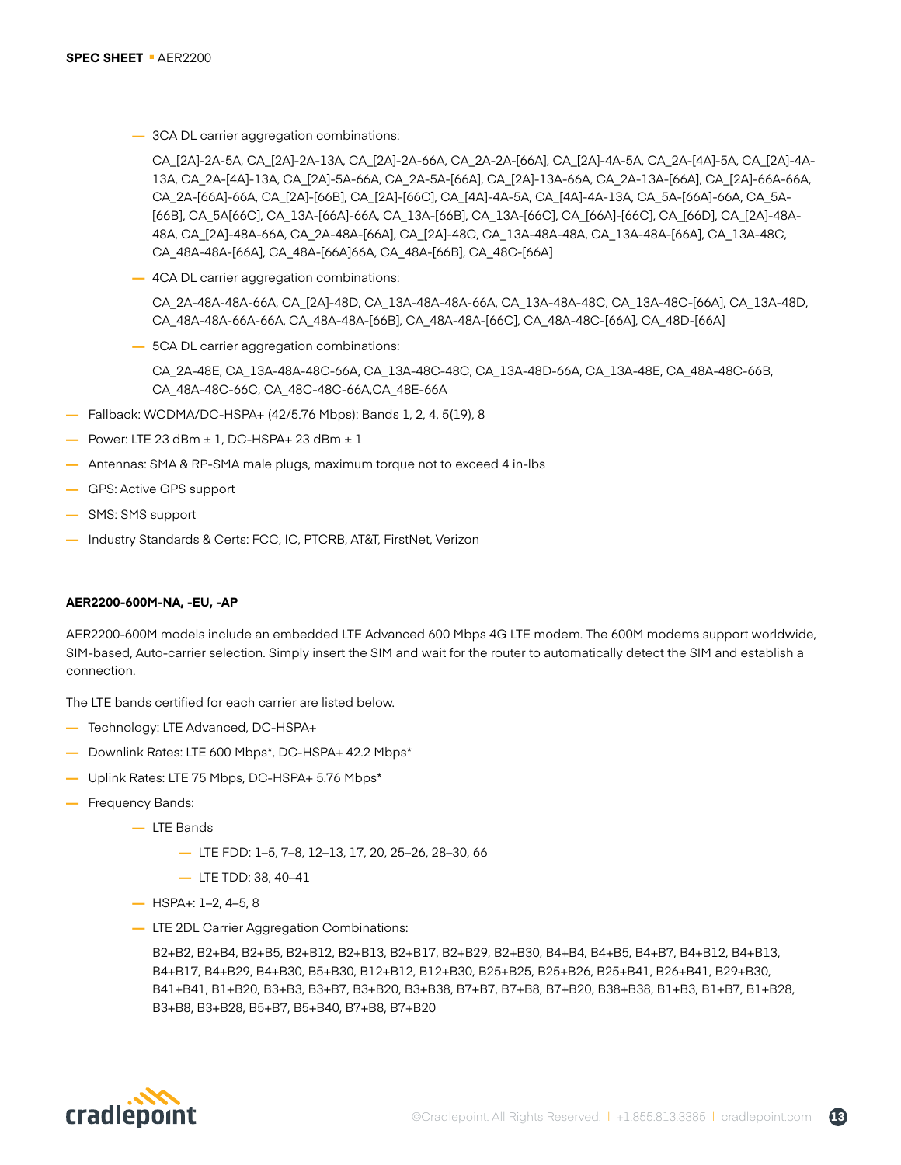**—** 3CA DL carrier aggregation combinations:

CA\_[2A]-2A-5A, CA\_[2A]-2A-13A, CA\_[2A]-2A-66A, CA\_2A-2A-[66A], CA\_[2A]-4A-5A, CA\_2A-[4A]-5A, CA\_[2A]-4A-13A, CA\_2A-[4A]-13A, CA\_[2A]-5A-66A, CA\_2A-5A-[66A], CA\_[2A]-13A-66A, CA\_2A-13A-[66A], CA\_[2A]-66A-66A, CA\_2A-[66A]-66A, CA\_[2A]-[66B], CA\_[2A]-[66C], CA\_[4A]-4A-5A, CA\_[4A]-4A-13A, CA\_5A-[66A]-66A, CA\_5A- [66B], CA\_5A[66C], CA\_13A-[66A]-66A, CA\_13A-[66B], CA\_13A-[66C], CA\_[66A]-[66C], CA\_[66D], CA\_[2A]-48A-48A, CA\_[2A]-48A-66A, CA\_2A-48A-[66A], CA\_[2A]-48C, CA\_13A-48A-48A, CA\_13A-48A-[66A], CA\_13A-48C, CA\_48A-48A-[66A], CA\_48A-[66A]66A, CA\_48A-[66B], CA\_48C-[66A]

**—** 4CA DL carrier aggregation combinations:

CA\_2A-48A-48A-66A, CA\_[2A]-48D, CA\_13A-48A-48A-66A, CA\_13A-48A-48C, CA\_13A-48C-[66A], CA\_13A-48D, CA\_48A-48A-66A-66A, CA\_48A-48A-[66B], CA\_48A-48A-[66C], CA\_48A-48C-[66A], CA\_48D-[66A]

**—** 5CA DL carrier aggregation combinations:

CA\_2A-48E, CA\_13A-48A-48C-66A, CA\_13A-48C-48C, CA\_13A-48D-66A, CA\_13A-48E, CA\_48A-48C-66B, CA\_48A-48C-66C, CA\_48C-48C-66A,CA\_48E-66A

- **—** Fallback: WCDMA/DC-HSPA+ (42/5.76 Mbps): Bands 1, 2, 4, 5(19), 8
- **—** Power: LTE 23 dBm ± 1, DC-HSPA+ 23 dBm ± 1
- **—** Antennas: SMA & RP-SMA male plugs, maximum torque not to exceed 4 in-lbs
- **—** GPS: Active GPS support
- **—** SMS: SMS support
- **—** Industry Standards & Certs: FCC, IC, PTCRB, AT&T, FirstNet, Verizon

#### **AER2200-600M-NA, -EU, -AP**

AER2200-600M models include an embedded LTE Advanced 600 Mbps 4G LTE modem. The 600M modems support worldwide, SIM-based, Auto-carrier selection. Simply insert the SIM and wait for the router to automatically detect the SIM and establish a connection.

The LTE bands certified for each carrier are listed below.

- **—** Technology: LTE Advanced, DC-HSPA+
- **—** Downlink Rates: LTE 600 Mbps\*, DC-HSPA+ 42.2 Mbps\*
- **—** Uplink Rates: LTE 75 Mbps, DC-HSPA+ 5.76 Mbps\*
- **—** Frequency Bands:
	- **—** LTE Bands
		- **—** LTE FDD: 1–5, 7–8, 12–13, 17, 20, 25–26, 28–30, 66
		- **—** LTE TDD: 38, 40–41
	- **—** HSPA+: 1–2, 4–5, 8
	- **—** LTE 2DL Carrier Aggregation Combinations:

B2+B2, B2+B4, B2+B5, B2+B12, B2+B13, B2+B17, B2+B29, B2+B30, B4+B4, B4+B5, B4+B7, B4+B12, B4+B13, B4+B17, B4+B29, B4+B30, B5+B30, B12+B12, B12+B30, B25+B25, B25+B26, B25+B41, B26+B41, B29+B30, B41+B41, B1+B20, B3+B3, B3+B7, B3+B20, B3+B38, B7+B7, B7+B8, B7+B20, B38+B38, B1+B3, B1+B7, B1+B28, B3+B8, B3+B28, B5+B7, B5+B40, B7+B8, B7+B20

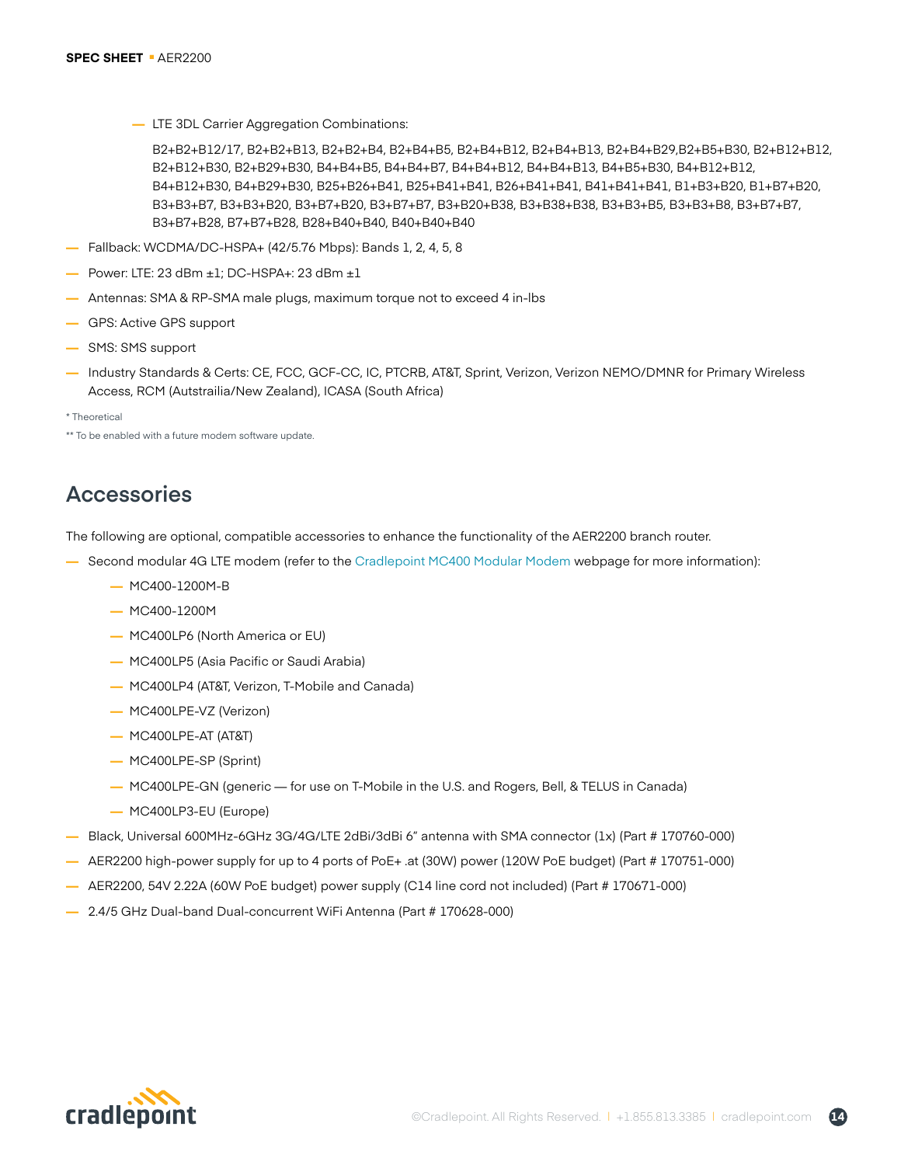**—** LTE 3DL Carrier Aggregation Combinations:

B2+B2+B12/17, B2+B2+B13, B2+B2+B4, B2+B4+B5, B2+B4+B12, B2+B4+B13, B2+B4+B29,B2+B5+B30, B2+B12+B12, B2+B12+B30, B2+B29+B30, B4+B4+B5, B4+B4+B7, B4+B4+B12, B4+B4+B13, B4+B5+B30, B4+B12+B12, B4+B12+B30, B4+B29+B30, B25+B26+B41, B25+B41+B41, B26+B41+B41, B41+B41+B41, B1+B3+B20, B1+B7+B20, B3+B3+B7, B3+B3+B20, B3+B7+B20, B3+B7+B7, B3+B20+B38, B3+B38+B38, B3+B3+B5, B3+B3+B8, B3+B7+B7, B3+B7+B28, B7+B7+B28, B28+B40+B40, B40+B40+B40

- **—** Fallback: WCDMA/DC-HSPA+ (42/5.76 Mbps): Bands 1, 2, 4, 5, 8
- **—** Power: LTE: 23 dBm ±1; DC-HSPA+: 23 dBm ±1
- **—** Antennas: SMA & RP-SMA male plugs, maximum torque not to exceed 4 in-lbs
- **—** GPS: Active GPS support
- **—** SMS: SMS support
- **—** Industry Standards & Certs: CE, FCC, GCF-CC, IC, PTCRB, AT&T, Sprint, Verizon, Verizon NEMO/DMNR for Primary Wireless Access, RCM (Autstrailia/New Zealand), ICASA (South Africa)
- \* Theoretical

\*\* To be enabled with a future modem software update.

# **Accessories**

The following are optional, compatible accessories to enhance the functionality of the AER2200 branch router.

- **—** Second modular 4G LTE modem (refer to the [Cradlepoint MC400 Modular Modem](https://cradlepoint.com/products/accessories/mc400) webpage for more information):
	- **—** MC400-1200M-B
	- **—** MC400-1200M
	- **—** MC400LP6 (North America or EU)
	- **—** MC400LP5 (Asia Pacific or Saudi Arabia)
	- **—** MC400LP4 (AT&T, Verizon, T-Mobile and Canada)
	- **—** MC400LPE-VZ (Verizon)
	- **—** MC400LPE-AT (AT&T)
	- **—** MC400LPE-SP (Sprint)
	- **—** MC400LPE-GN (generic for use on T-Mobile in the U.S. and Rogers, Bell, & TELUS in Canada)
	- **—** MC400LP3-EU (Europe)
- **—** Black, Universal 600MHz-6GHz 3G/4G/LTE 2dBi/3dBi 6" antenna with SMA connector (1x) (Part # 170760-000)
- **—** AER2200 high-power supply for up to 4 ports of PoE+ .at (30W) power (120W PoE budget) (Part # 170751-000)
- **—** AER2200, 54V 2.22A (60W PoE budget) power supply (C14 line cord not included) (Part # 170671-000)
- **—** 2.4/5 GHz Dual-band Dual-concurrent WiFi Antenna (Part # 170628-000)

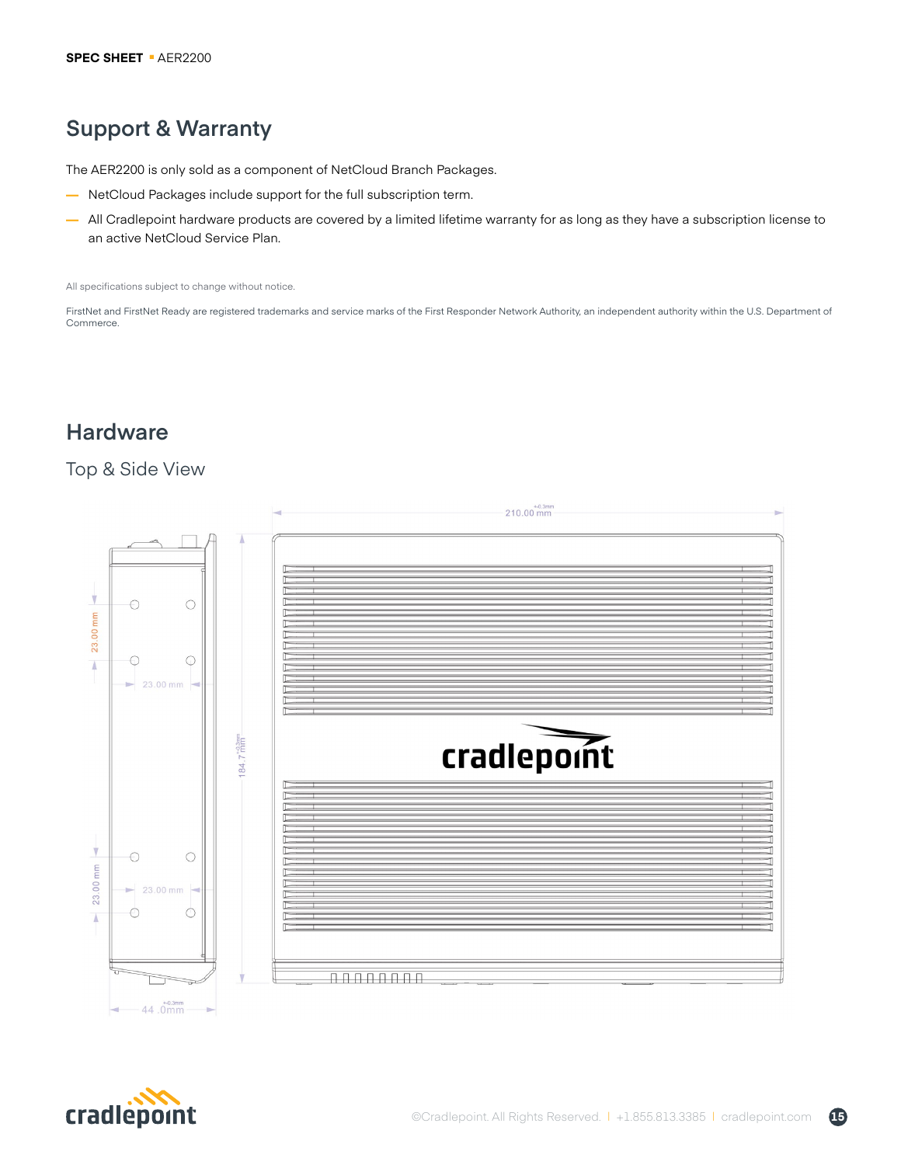# **Support & Warranty**

The AER2200 is only sold as a component of NetCloud Branch Packages.

- **—** NetCloud Packages include support for the full subscription term.
- **—** All Cradlepoint hardware products are covered by a limited lifetime warranty for as long as they have a subscription license to an active NetCloud Service Plan.

All specifications subject to change without notice.

FirstNet and FirstNet Ready are registered trademarks and service marks of the First Responder Network Authority, an independent authority within the U.S. Department of Commerce.

# **Hardware**

## Top & Side View





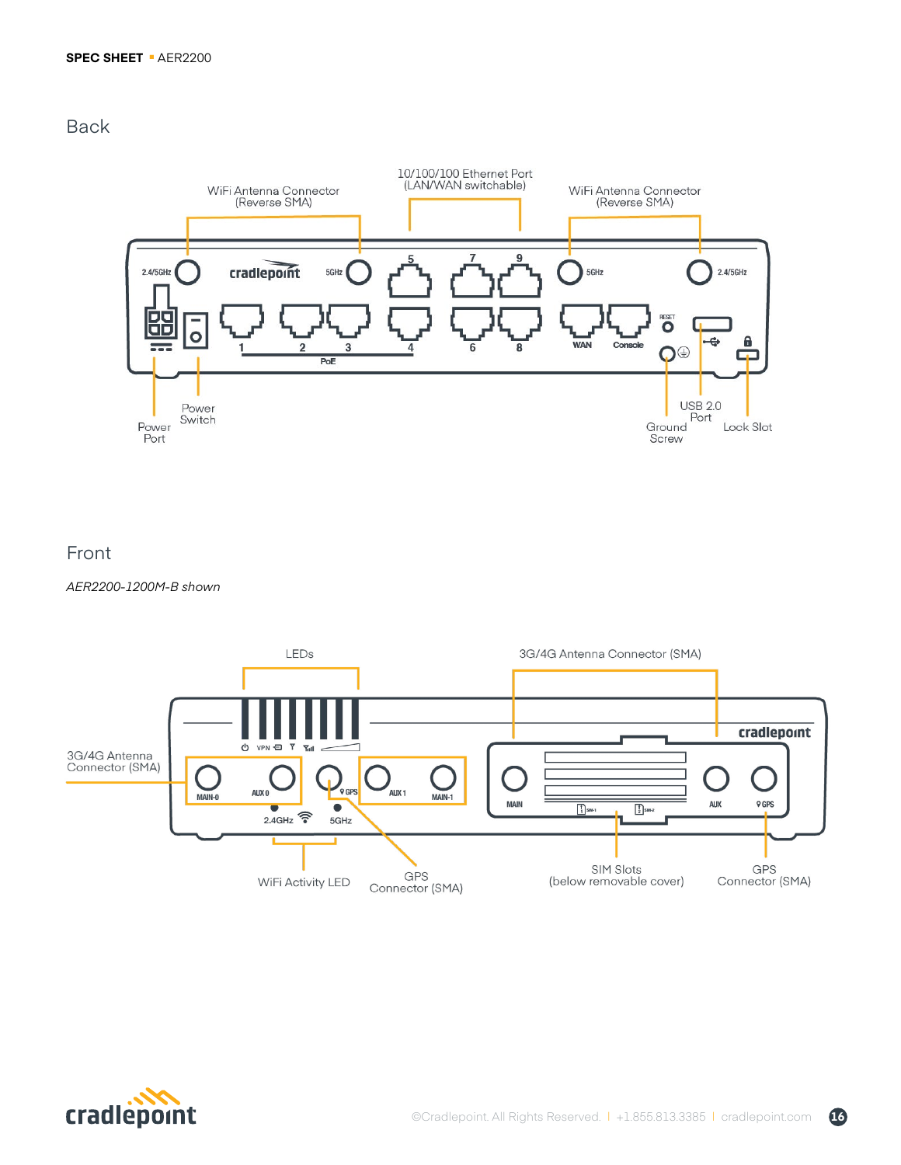## Back



## Front

*AER2200-1200M-B shown*